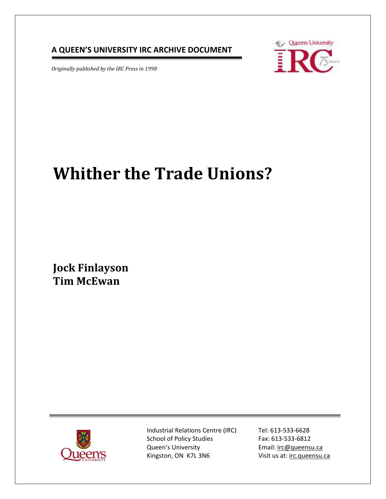## **A QUEEN'S UNIVERSITY IRC ARCHIVE DOCUMENT**

*Originally published by the IRC Press in 1998* 



# **Whither the Trade Unions?**

**Jock Finlayson Tim McEwan** 



Industrial Relations Centre (IRC) School of Policy Studies Queen's University Kingston, ON K7L 3N6

Tel: 613-533-6628 Fax: 613-533-6812 Email: [irc@queensu.ca](mailto:irc@queensu.ca) Visit us at[: irc.queensu.ca](http://irc.queensu.ca/)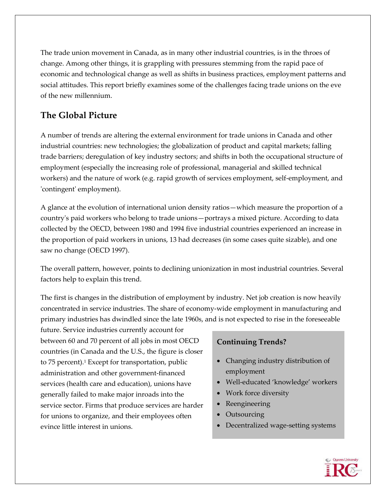The trade union movement in Canada, as in many other industrial countries, is in the throes of change. Among other things, it is grappling with pressures stemming from the rapid pace of economic and technological change as well as shifts in business practices, employment patterns and social attitudes. This report briefly examines some of the challenges facing trade unions on the eve of the new millennium.

# **The Global Picture**

A number of trends are altering the external environment for trade unions in Canada and other industrial countries: new technologies; the globalization of product and capital markets; falling trade barriers; deregulation of key industry sectors; and shifts in both the occupational structure of employment (especially the increasing role of professional, managerial and skilled technical workers) and the nature of work (e.g. rapid growth of services employment, self-employment, and 'contingent' employment).

A glance at the evolution of international union density ratios—which measure the proportion of a country's paid workers who belong to trade unions—portrays a mixed picture. According to data collected by the OECD, between 1980 and 1994 five industrial countries experienced an increase in the proportion of paid workers in unions, 13 had decreases (in some cases quite sizable), and one saw no change (OECD 1997).

The overall pattern, however, points to declining unionization in most industrial countries. Several factors help to explain this trend.

The first is changes in the distribution of employment by [industry. Net](http://industry.net/) job creation is now heavily concentrated in service industries. The share of economy-wide employment in manufacturing and primary industries has dwindled since the late 1960s, and is not expected to rise in the foreseeable

future. Service industries currently account for between 60 and 70 percent of all jobs in most OECD countries (in Canada and the U.S., the figure is closer to 75 percent).<sup>1</sup> Except for transportation, public administration and other government-financed services (health care and education), unions have generally failed to make major inroads into the service sector. Firms that produce services are harder for unions to organize, and their employees often evince little interest in unions.

### **Continuing Trends?**

- Changing industry distribution of employment
- Well-educated 'knowledge' workers
- Work force diversity
- Reengineering
- Outsourcing
- Decentralized wage-setting systems

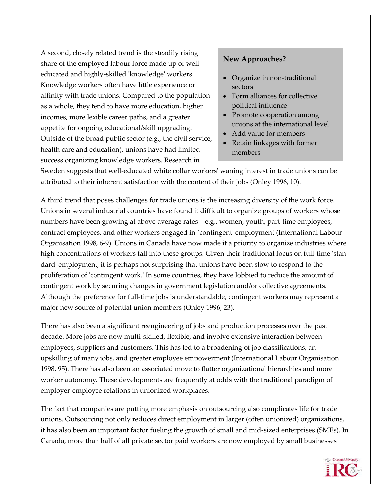A second, closely related trend is the steadily rising share of the employed labour force made up of welleducated and highly-skilled 'knowledge' workers. Knowledge workers often have little experience or affinity with trade unions. Compared to the population as a whole, they tend to have more education, higher incomes, more lexible career paths, and a greater appetite for ongoing educational/skill upgrading. Outside of the broad public sector (e.g., the civil service, health care and education), unions have had limited success organizing knowledge workers. Research in

#### **New Approaches?**

- Organize in non-traditional sectors
- Form alliances for collective political influence
- Promote cooperation among unions at the international level
- Add value for members
- Retain linkages with former members

Sweden suggests that well-educated white collar workers' waning interest in trade unions can be attributed to their inherent satisfaction with the content of their jobs (Onley 1996, 10).

A third trend that poses challenges for trade unions is the increasing diversity of the work force. Unions in several industrial countries have found it difficult to organize groups of workers whose numbers have been growing at above average rates—e.g., women, youth, part-time employees, contract employees, and other workers engaged in `contingent' employment (International Labour Organisation 1998, 6-9). Unions in Canada have now made it a priority to organize industries where high concentrations of workers fall into these groups. Given their traditional focus on full-time 'standard' employment, it is perhaps not surprising that unions have been slow to respond to the proliferation of 'contingent work.' In some countries, they have lobbied to reduce the amount of contingent work by securing changes in government legislation and/or collective agreements. Although the preference for full-time jobs is understandable, contingent workers may represent a major new source of potential union members (Onley 1996, 23).

There has also been a significant reengineering of jobs and production processes over the past decade. More jobs are now multi-skilled, flexible, and involve extensive interaction between employees, suppliers and customers. This has led to a broadening of job classifications, an upskilling of many jobs, and greater employee empowerment (International Labour Organisation 1998, 95). There has also been an associated move to flatter organizational hierarchies and more worker autonomy. These developments are frequently at odds with the traditional paradigm of employer-employee relations in unionized workplaces.

The fact that companies are putting more emphasis on outsourcing also complicates life for trade unions. Outsourcing not only reduces direct employment in larger (often unionized) organizations, it has also been an important factor fueling the growth of small and mid-sized enterprises (SMEs). In Canada, more than half of all private sector paid workers are now employed by small businesses

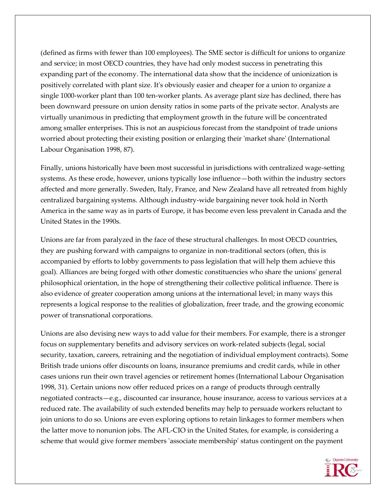(defined as firms with fewer than 100 employees). The SME sector is difficult for unions to organize and service; in most OECD countries, they have had only modest success in penetrating this expanding part of the economy. The international data show that the incidence of unionization is positively correlated with plant size. It's obviously easier and cheaper for a union to organize a single 1000-worker plant than 100 ten-worker plants. As average plant size has declined, there has been downward pressure on union density ratios in some parts of the private sector. Analysts are virtually unanimous in predicting that employment growth in the future will be concentrated among smaller enterprises. This is not an auspicious forecast from the standpoint of trade unions worried about protecting their existing position or enlarging their 'market share' (International Labour Organisation 1998, 87).

Finally, unions historically have been most successful in jurisdictions with centralized wage-setting systems. As these erode, however, unions typically lose influence—both within the industry sectors affected and more generally. Sweden, Italy, France, and New Zealand have all retreated from highly centralized bargaining systems. Although industry-wide bargaining never took hold in North America in the same way as in parts of Europe, it has become even less prevalent in Canada and the United States in the 1990s.

Unions are far from paralyzed in the face of these structural challenges. In most OECD countries, they are pushing forward with campaigns to organize in non-traditional sectors (often, this is accompanied by efforts to lobby governments to pass legislation that will help them achieve this goal). Alliances are being forged with other domestic constituencies who share the unions' general philosophical orientation, in the hope of strengthening their collective political influence. There is also evidence of greater cooperation among unions at the international level; in many ways this represents a logical response to the realities of globalization, freer trade, and the growing economic power of transnational corporations.

Unions are also devising new ways to add value for their members. For example, there is a stronger focus on supplementary benefits and advisory services on work-related subjects (legal, social security, taxation, careers, retraining and the negotiation of individual employment contracts). Some British trade unions offer discounts on loans, insurance premiums and credit cards, while in other cases unions run their own travel agencies or retirement homes (International Labour Organisation 1998, 31). Certain unions now offer reduced prices on a range of products through centrally negotiated contracts—e.g., discounted car insurance, house insurance, access to various services at a reduced rate. The availability of such extended benefits may help to persuade workers reluctant to join unions to do so. Unions are even exploring options to retain linkages to former members when the latter move to nonunion jobs. The AFL-CIO in the United States, for example, is considering a scheme that would give former members 'associate membership' status contingent on the payment

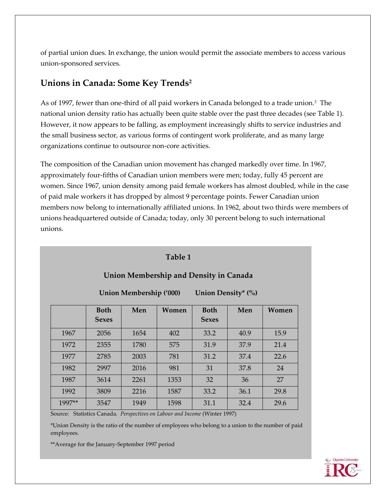of partial union dues. In exchange, the union would permit the associate members to access various union-sponsored services.

## **Unions in Canada: Some Key Trends<sup>2</sup>**

As of 1997, fewer than one-third of all paid workers in Canada belonged to a trade union.<sup>3</sup> The national union density ratio has actually been quite stable over the past three decades (see Table 1). However, it now appears to be falling, as employment increasingly shifts to service industries and the small business sector, as various forms of contingent work proliferate, and as many large organizations continue to outsource non-core activities.

The composition of the Canadian union movement has changed markedly over time. In 1967, approximately four-fifths of Canadian union members were men; today, fully 45 percent are women. Since 1967, union density among paid female workers has almost doubled, while in the case of paid male workers it has dropped by almost 9 percentage points. Fewer Canadian union members now belong to internationally affiliated unions. In 1962, about two thirds were members of unions headquartered outside of Canada; today, only 30 percent belong to such international unions.

#### **Table 1**

#### **Union Membership and Density in Canada**

**Union Membership ('000) Union Density\* (%)**

|        | <b>Both</b><br><b>Sexes</b> | Men  | Women | <b>Both</b><br><b>Sexes</b> | Men  | Women |
|--------|-----------------------------|------|-------|-----------------------------|------|-------|
| 1967   | 2056                        | 1654 | 402   | 33.2                        | 40.9 | 15.9  |
| 1972   | 2355                        | 1780 | 575   | 31.9                        | 37.9 | 21.4  |
| 1977   | 2785                        | 2003 | 781   | 31.2                        | 37.4 | 22.6  |
| 1982   | 2997                        | 2016 | 981   | 31                          | 37.8 | 24    |
| 1987   | 3614                        | 2261 | 1353  | 32                          | 36   | 27    |
| 1992   | 3809                        | 2216 | 1587  | 33.2                        | 36.1 | 29.8  |
| 1997** | 3547                        | 1949 | 1598  | 31.1                        | 32.4 | 29.6  |

Source: Statistics Canada. *Perspectives on Labour and Income* (Winter 1997)

\*Union Density is the ratio of the number of employees who belong to a union to the number of paid employees.

\*\*Average for the January-September 1997 period

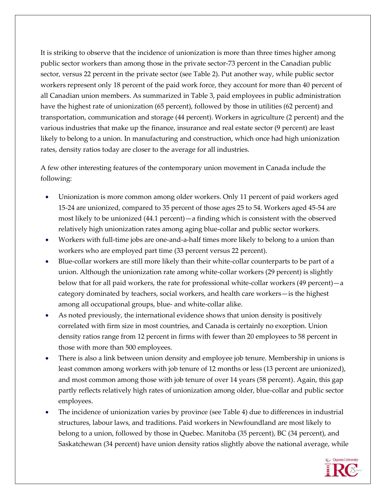It is striking to observe that the incidence of unionization is more than three times higher among public sector workers than among those in the private sector-73 percent in the Canadian public sector, versus 22 percent in the private sector (see Table 2). Put another way, while public sector workers represent only 18 percent of the paid work force, they account for more than 40 percent of all Canadian union members. As summarized in Table 3, paid employees in public administration have the highest rate of unionization (65 percent), followed by those in utilities (62 percent) and transportation, communication and storage (44 percent). Workers in agriculture (2 percent) and the various industries that make up the finance, insurance and real estate sector (9 percent) are least likely to belong to a union. In manufacturing and construction, which once had high unionization rates, density ratios today are closer to the average for all industries.

A few other interesting features of the contemporary union movement in Canada include the following:

- Unionization is more common among older workers. Only 11 percent of paid workers aged 15-24 are unionized, compared to 35 percent of those ages 25 to 54. Workers aged 45-54 are most likely to be unionized (44.1 percent)—a finding which is consistent with the observed relatively high unionization rates among aging blue-collar and public sector workers.
- Workers with full-time jobs are one-and-a-half times more likely to belong to a union than workers who are employed part time (33 percent versus 22 percent).
- Blue-collar workers are still more likely than their white-collar counterparts to be part of a union. Although the unionization rate among white-collar workers (29 percent) is slightly below that for all paid workers, the rate for professional white-collar workers (49 percent)—a category dominated by teachers, social workers, and health care workers—is the highest among all occupational groups, blue- and white-collar alike.
- As noted previously, the international evidence shows that union density is positively correlated with firm size in most countries, and Canada is certainly no exception. Union density ratios range from 12 percent in firms with fewer than 20 employees to 58 percent in those with more than 500 employees.
- There is also a link between union density and employee job tenure. Membership in unions is least common among workers with job tenure of 12 months or less (13 percent are unionized), and most common among those with job tenure of over 14 years (58 percent). Again, this gap partly reflects relatively high rates of unionization among older, blue-collar and public sector employees.
- The incidence of unionization varies by province (see Table 4) due to differences in industrial structures, labour laws, and traditions. Paid workers in Newfoundland are most likely to belong to a union, followed by those in Quebec. Manitoba (35 percent), BC (34 percent), and Saskatchewan (34 percent) have union density ratios slightly above the national average, while

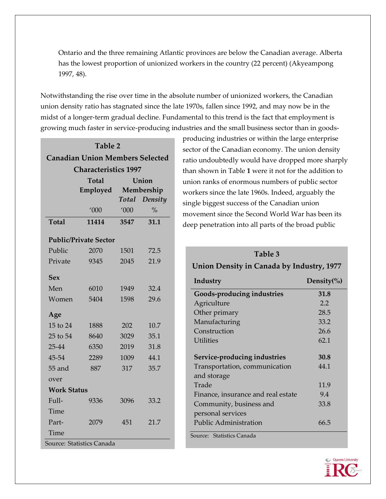Ontario and the three remaining Atlantic provinces are below the Canadian average. Alberta has the lowest proportion of unionized workers in the country (22 percent) (Akyeampong 1997, 48).

Notwithstanding the rise over time in the absolute number of unionized workers, the Canadian union density ratio has stagnated since the late 1970s, fallen since 1992, and may now be in the midst of a longer-term gradual decline. Fundamental to this trend is the fact that employment is growing much faster in service-producing industries and the small business sector than in goods-

| Table 2                                |          |            |               |  |  |  |  |
|----------------------------------------|----------|------------|---------------|--|--|--|--|
| <b>Canadian Union Members Selected</b> |          |            |               |  |  |  |  |
| <b>Characteristics 1997</b>            |          |            |               |  |  |  |  |
|                                        | Total    | Union      |               |  |  |  |  |
|                                        | Employed | Membership |               |  |  |  |  |
|                                        |          |            | Total Density |  |  |  |  |
|                                        | '000     | '000       | $\%$          |  |  |  |  |
| <b>Total</b>                           | 11414    | 3547       | 31.1          |  |  |  |  |
| <b>Public/Private Sector</b>           |          |            |               |  |  |  |  |
| Public                                 | 2070     | 1501       | 72.5          |  |  |  |  |
| Private                                | 9345     | 2045       | 21.9          |  |  |  |  |
| Sex                                    |          |            |               |  |  |  |  |
| Men                                    | 6010     | 1949       | 32.4          |  |  |  |  |
| Women                                  | 5404     | 1598       | 29.6          |  |  |  |  |
| Age                                    |          |            |               |  |  |  |  |
| 15 to 24                               | 1888     | 202        | 10.7          |  |  |  |  |
| 25 to 54                               | 8640     | 3029       | 35.1          |  |  |  |  |
| $25 - 44$                              | 6350     | 2019       | 31.8          |  |  |  |  |
| 45-54                                  | 2289     | 1009       | 44.1          |  |  |  |  |
| 55 and                                 | 887      | 317        | 35.7          |  |  |  |  |
| over                                   |          |            |               |  |  |  |  |
| <b>Work Status</b>                     |          |            |               |  |  |  |  |
| Full-                                  | 9336     | 3096       | 33.2          |  |  |  |  |
| Time                                   |          |            |               |  |  |  |  |
| Part-                                  | 2079     | 451        | 21.7          |  |  |  |  |
| Time                                   |          |            |               |  |  |  |  |
| Source: Statistics Canada              |          |            |               |  |  |  |  |

producing industries or within the large enterprise sector of the Canadian economy. The union density ratio undoubtedly would have dropped more sharply than shown in Table **1** were it not for the addition to union ranks of enormous numbers of public sector workers since the late 1960s. Indeed, arguably the single biggest success of the Canadian union movement since the Second World War has been its deep penetration into all parts of the broad public

| Table 3<br>Union Density in Canada by Industry, 1977 |                           |  |  |  |
|------------------------------------------------------|---------------------------|--|--|--|
| Industry                                             | Density $\left(\%\right)$ |  |  |  |
| Goods-producing industries                           | 31.8                      |  |  |  |
| Agriculture                                          | 2.2                       |  |  |  |
| Other primary                                        | 28.5                      |  |  |  |
| Manufacturing                                        | 33.2                      |  |  |  |
| Construction                                         | 26.6                      |  |  |  |
| <b>Utilities</b>                                     | 62.1                      |  |  |  |
| Service-producing industries                         | 30.8                      |  |  |  |
| Transportation, communication                        | 44 1                      |  |  |  |
| and storage                                          |                           |  |  |  |
| Trade                                                | 11.9                      |  |  |  |
| Finance, insurance and real estate                   | 9.4                       |  |  |  |
| Community, business and                              | 33.8                      |  |  |  |
| personal services                                    |                           |  |  |  |
| <b>Public Administration</b>                         | 66.5                      |  |  |  |
| Source: Statistics Canada                            |                           |  |  |  |

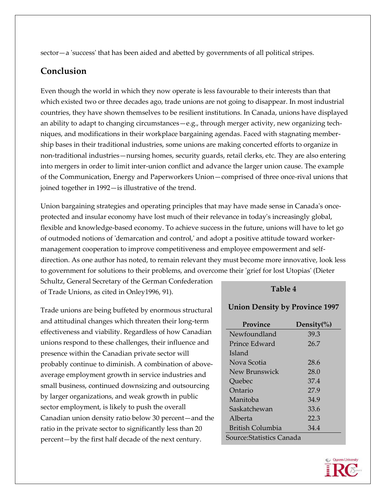sector—a 'success' that has been aided and abetted by governments of all political stripes.

## **Conclusion**

Even though the world in which they now operate is less favourable to their interests than that which existed two or three decades ago, trade unions are not going to disappear. In most industrial countries, they have shown themselves to be resilient institutions. In Canada, unions have displayed an ability to adapt to changing circumstances—e.g., through merger activity, new organizing techniques, and modifications in their workplace bargaining agendas. Faced with stagnating membership bases in their traditional industries, some unions are making concerted efforts to organize in non-traditional industries—nursing homes, security guards, retail clerks, etc. They are also entering into mergers in order to limit inter-union conflict and advance the larger union cause. The example of the Communication, Energy and Paperworkers Union—comprised of three once-rival unions that joined together in 1992—is illustrative of the trend.

Union bargaining strategies and operating principles that may have made sense in Canada's onceprotected and insular economy have lost much of their relevance in today's increasingly global, flexible and knowledge-based economy. To achieve success in the future, unions will have to let go of outmoded notions of 'demarcation and control,' and adopt a positive attitude toward workermanagement cooperation to improve competitiveness and employee empowerment and selfdirection. As one author has noted, to remain relevant they must become more innovative, look less to government for solutions to their problems, and overcome their 'grief for lost Utopias' (Dieter

Schultz, General Secretary of the German Confederation of Trade Unions, as cited in Onley1996, 91).

#### **Table 4**

**Union Density by Province 1997** 

Trade unions are being buffeted by enormous structural and attitudinal changes which threaten their long-term effectiveness and viability. Regardless of how Canadian unions respond to these challenges, their influence and presence within the Canadian private sector will probably continue to diminish. A combination of aboveaverage employment growth in service industries and small business, continued downsizing and outsourcing by larger organizations, and weak growth in public sector employment, is likely to push the overall Canadian union density ratio below 30 percent—and the ratio in the private sector to significantly less than 20 percent—by the first half decade of the next century.

| Province                  | Density $\left(\%\right)$ |  |  |
|---------------------------|---------------------------|--|--|
| Newfoundland              | 39.3                      |  |  |
| Prince Edward             | 26.7                      |  |  |
| Island                    |                           |  |  |
| Nova Scotia               | 28.6                      |  |  |
| New Brunswick             | 28.0                      |  |  |
| Quebec                    | 37.4                      |  |  |
| Ontario                   | 27.9                      |  |  |
| Manitoba                  | 34.9                      |  |  |
| Saskatchewan              | 33.6                      |  |  |
| Alberta                   | 22.3                      |  |  |
| <b>British Columbia</b>   | 34.4                      |  |  |
| Source: Statistics Canada |                           |  |  |